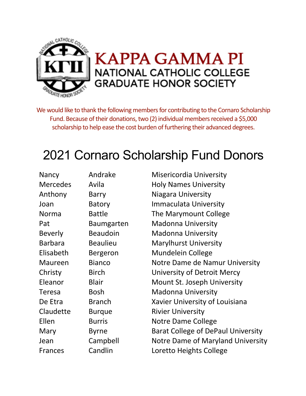

We would like to thank the following members for contributing to the Cornaro Scholarship Fund. Because of their donations, two (2) individual members received a \$5,000 scholarship to help ease the cost burden of furthering their advanced degrees.

## 2021 Cornaro Scholarship Fund Donors

| Nancy           | Andrake           | <b>Misericordia University</b>     |
|-----------------|-------------------|------------------------------------|
| <b>Mercedes</b> | Avila             | <b>Holy Names University</b>       |
| Anthony         | <b>Barry</b>      | Niagara University                 |
| Joan            | <b>Batory</b>     | <b>Immaculata University</b>       |
| Norma           | <b>Battle</b>     | The Marymount College              |
| Pat             | <b>Baumgarten</b> | <b>Madonna University</b>          |
| <b>Beverly</b>  | <b>Beaudoin</b>   | <b>Madonna University</b>          |
| <b>Barbara</b>  | <b>Beaulieu</b>   | <b>Marylhurst University</b>       |
| Elisabeth       | <b>Bergeron</b>   | <b>Mundelein College</b>           |
| Maureen         | <b>Bianco</b>     | Notre Dame de Namur University     |
| Christy         | <b>Birch</b>      | University of Detroit Mercy        |
| Eleanor         | <b>Blair</b>      | Mount St. Joseph University        |
| <b>Teresa</b>   | <b>Bosh</b>       | <b>Madonna University</b>          |
| De Etra         | <b>Branch</b>     | Xavier University of Louisiana     |
| Claudette       | <b>Burque</b>     | <b>Rivier University</b>           |
| Ellen           | <b>Burris</b>     | Notre Dame College                 |
| Mary            | <b>Byrne</b>      | Barat College of DePaul University |
| Jean            | Campbell          | Notre Dame of Maryland University  |
| <b>Frances</b>  | Candlin           | Loretto Heights College            |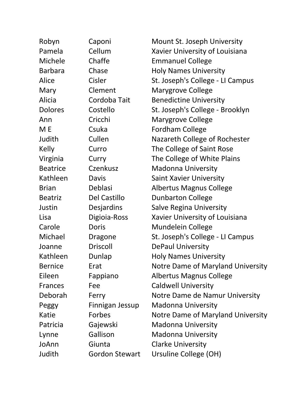| Robyn           | Caponi                | Mount St. Joseph University       |
|-----------------|-----------------------|-----------------------------------|
| Pamela          | Cellum                | Xavier University of Louisiana    |
| Michele         | Chaffe                | <b>Emmanuel College</b>           |
| <b>Barbara</b>  | Chase                 | <b>Holy Names University</b>      |
| Alice           | Cisler                | St. Joseph's College - LI Campus  |
| Mary            | Clement               | <b>Marygrove College</b>          |
| Alicia          | Cordoba Tait          | <b>Benedictine University</b>     |
| <b>Dolores</b>  | Costello              | St. Joseph's College - Brooklyn   |
| Ann             | Cricchi               | <b>Marygrove College</b>          |
| M E             | Csuka                 | <b>Fordham College</b>            |
| Judith          | Cullen                | Nazareth College of Rochester     |
| Kelly           | Curro                 | The College of Saint Rose         |
| Virginia        | Curry                 | The College of White Plains       |
| <b>Beatrice</b> | Czenkusz              | <b>Madonna University</b>         |
| Kathleen        | <b>Davis</b>          | <b>Saint Xavier University</b>    |
| <b>Brian</b>    | Deblasi               | <b>Albertus Magnus College</b>    |
| <b>Beatriz</b>  | Del Castillo          | <b>Dunbarton College</b>          |
| Justin          | Desjardins            | <b>Salve Regina University</b>    |
| Lisa            | Digioia-Ross          | Xavier University of Louisiana    |
| Carole          | Doris                 | <b>Mundelein College</b>          |
| Michael         | <b>Dragone</b>        | St. Joseph's College - LI Campus  |
| Joanne          | <b>Driscoll</b>       | <b>DePaul University</b>          |
| Kathleen        | Dunlap                | <b>Holy Names University</b>      |
| <b>Bernice</b>  | Erat                  | Notre Dame of Maryland University |
| Eileen          | Fappiano              | <b>Albertus Magnus College</b>    |
| <b>Frances</b>  | Fee                   | <b>Caldwell University</b>        |
| Deborah         | Ferry                 | Notre Dame de Namur University    |
| Peggy           | Finnigan Jessup       | <b>Madonna University</b>         |
| Katie           | Forbes                | Notre Dame of Maryland University |
| Patricia        | Gajewski              | <b>Madonna University</b>         |
| Lynne           | Gallison              | <b>Madonna University</b>         |
| JoAnn           | Giunta                | <b>Clarke University</b>          |
| Judith          | <b>Gordon Stewart</b> | Ursuline College (OH)             |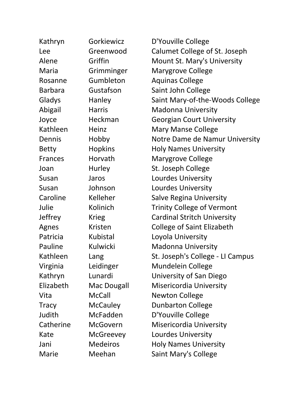| Kathryn        | Gorkiewicz         | D'Youville College                 |
|----------------|--------------------|------------------------------------|
| Lee            | Greenwood          | Calumet College of St. Joseph      |
| Alene          | Griffin            | Mount St. Mary's University        |
| Maria          | Grimminger         | <b>Marygrove College</b>           |
| Rosanne        | Gumbleton          | <b>Aquinas College</b>             |
| <b>Barbara</b> | Gustafson          | Saint John College                 |
| Gladys         | Hanley             | Saint Mary-of-the-Woods College    |
| Abigail        | <b>Harris</b>      | <b>Madonna University</b>          |
| Joyce          | Heckman            | <b>Georgian Court University</b>   |
| Kathleen       | Heinz              | <b>Mary Manse College</b>          |
| Dennis         | Hobby              | Notre Dame de Namur University     |
| <b>Betty</b>   | <b>Hopkins</b>     | <b>Holy Names University</b>       |
| <b>Frances</b> | Horvath            | <b>Marygrove College</b>           |
| Joan           | Hurley             | St. Joseph College                 |
| Susan          | Jaros              | <b>Lourdes University</b>          |
| Susan          | Johnson            | <b>Lourdes University</b>          |
| Caroline       | Kelleher           | <b>Salve Regina University</b>     |
| Julie          | Kolinich           | <b>Trinity College of Vermont</b>  |
| <b>Jeffrey</b> | <b>Krieg</b>       | <b>Cardinal Stritch University</b> |
| Agnes          | Kristen            | <b>College of Saint Elizabeth</b>  |
| Patricia       | Kubistal           | Loyola University                  |
| Pauline        | Kulwicki           | <b>Madonna University</b>          |
| Kathleen       | Lang               | St. Joseph's College - LI Campus   |
| Virginia       | Leidinger          | Mundelein College                  |
| Kathryn        | Lunardi            | University of San Diego            |
| Elizabeth      | <b>Mac Dougall</b> | Misericordia University            |
| Vita           | <b>McCall</b>      | <b>Newton College</b>              |
| <b>Tracy</b>   | <b>McCauley</b>    | <b>Dunbarton College</b>           |
| Judith         | McFadden           | D'Youville College                 |
| Catherine      | <b>McGovern</b>    | <b>Misericordia University</b>     |
| Kate           | <b>McGreevey</b>   | Lourdes University                 |
| Jani           | <b>Medeiros</b>    | <b>Holy Names University</b>       |
| Marie          | Meehan             | <b>Saint Mary's College</b>        |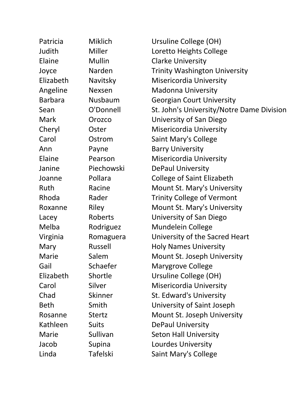| Patricia       | <b>Miklich</b>  | Ursuline College (OH)                     |  |
|----------------|-----------------|-------------------------------------------|--|
| Judith         | Miller          | Loretto Heights College                   |  |
| Elaine         | <b>Mullin</b>   | <b>Clarke University</b>                  |  |
| Joyce          | Narden          | <b>Trinity Washington University</b>      |  |
| Elizabeth      | Navitsky        | <b>Misericordia University</b>            |  |
| Angeline       | Nexsen          | <b>Madonna University</b>                 |  |
| <b>Barbara</b> | Nusbaum         | <b>Georgian Court University</b>          |  |
| Sean           | O'Donnell       | St. John's University/Notre Dame Division |  |
| <b>Mark</b>    | Orozco          | University of San Diego                   |  |
| Cheryl         | Oster           | <b>Misericordia University</b>            |  |
| Carol          | Ostrom          | <b>Saint Mary's College</b>               |  |
| Ann            | Payne           | <b>Barry University</b>                   |  |
| Elaine         | Pearson         | <b>Misericordia University</b>            |  |
| Janine         | Piechowski      | <b>DePaul University</b>                  |  |
| Joanne         | Pollara         | <b>College of Saint Elizabeth</b>         |  |
| Ruth           | Racine          | Mount St. Mary's University               |  |
| Rhoda          | Rader           | <b>Trinity College of Vermont</b>         |  |
| Roxanne        | <b>Riley</b>    | Mount St. Mary's University               |  |
| Lacey          | Roberts         | University of San Diego                   |  |
| Melba          | Rodriguez       | <b>Mundelein College</b>                  |  |
| Virginia       | Romaguera       | University of the Sacred Heart            |  |
| Mary           | Russell         | <b>Holy Names University</b>              |  |
| Marie          | Salem           | Mount St. Joseph University               |  |
| Gail           | Schaefer        | <b>Marygrove College</b>                  |  |
| Elizabeth      | Shortle         | Ursuline College (OH)                     |  |
| Carol          | Silver          | <b>Misericordia University</b>            |  |
| Chad           | Skinner         | St. Edward's University                   |  |
| <b>Beth</b>    | Smith           | University of Saint Joseph                |  |
| Rosanne        | <b>Stertz</b>   | Mount St. Joseph University               |  |
| Kathleen       | <b>Suits</b>    | <b>DePaul University</b>                  |  |
| Marie          | Sullivan        | <b>Seton Hall University</b>              |  |
| Jacob          | Supina          | <b>Lourdes University</b>                 |  |
| Linda          | <b>Tafelski</b> | Saint Mary's College                      |  |